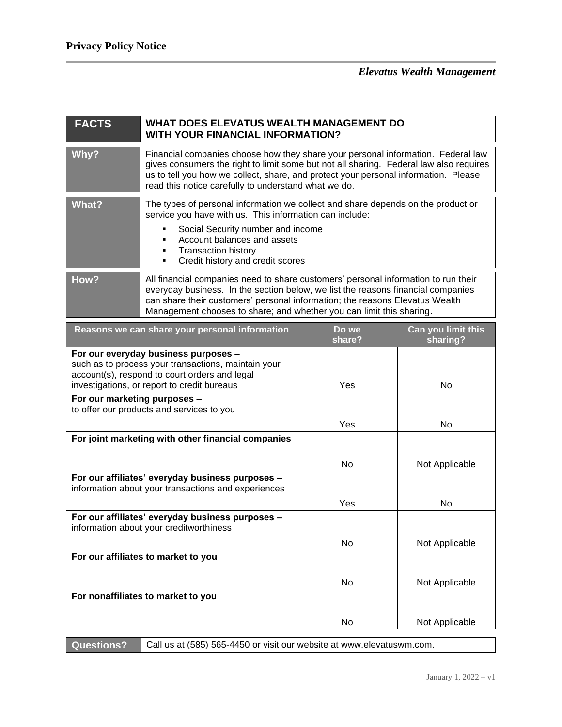| <b>FACTS</b>                                                                                                                                                                                | WHAT DOES ELEVATUS WEALTH MANAGEMENT DO<br><b>WITH YOUR FINANCIAL INFORMATION?</b>                                                                                                                                                                                                                                             |                 |                                |
|---------------------------------------------------------------------------------------------------------------------------------------------------------------------------------------------|--------------------------------------------------------------------------------------------------------------------------------------------------------------------------------------------------------------------------------------------------------------------------------------------------------------------------------|-----------------|--------------------------------|
| Why?                                                                                                                                                                                        | Financial companies choose how they share your personal information. Federal law<br>gives consumers the right to limit some but not all sharing. Federal law also requires<br>us to tell you how we collect, share, and protect your personal information. Please<br>read this notice carefully to understand what we do.      |                 |                                |
| <b>What?</b>                                                                                                                                                                                | The types of personal information we collect and share depends on the product or<br>service you have with us. This information can include:<br>Social Security number and income<br>Account balances and assets<br>٠<br><b>Transaction history</b><br>٠<br>Credit history and credit scores<br>٠                               |                 |                                |
| How?                                                                                                                                                                                        | All financial companies need to share customers' personal information to run their<br>everyday business. In the section below, we list the reasons financial companies<br>can share their customers' personal information; the reasons Elevatus Wealth<br>Management chooses to share; and whether you can limit this sharing. |                 |                                |
|                                                                                                                                                                                             | Reasons we can share your personal information                                                                                                                                                                                                                                                                                 | Do we<br>share? | Can you limit this<br>sharing? |
| For our everyday business purposes -<br>such as to process your transactions, maintain your<br>account(s), respond to court orders and legal<br>investigations, or report to credit bureaus |                                                                                                                                                                                                                                                                                                                                | Yes             | No                             |
| For our marketing purposes -<br>to offer our products and services to you                                                                                                                   |                                                                                                                                                                                                                                                                                                                                |                 |                                |
| For joint marketing with other financial companies                                                                                                                                          |                                                                                                                                                                                                                                                                                                                                | Yes             | No                             |
|                                                                                                                                                                                             |                                                                                                                                                                                                                                                                                                                                | No              | Not Applicable                 |
| For our affiliates' everyday business purposes -<br>information about your transactions and experiences                                                                                     |                                                                                                                                                                                                                                                                                                                                |                 |                                |
| For our affiliates' everyday business purposes -<br>information about your creditworthiness                                                                                                 |                                                                                                                                                                                                                                                                                                                                | Yes             | No                             |
|                                                                                                                                                                                             |                                                                                                                                                                                                                                                                                                                                | No              | Not Applicable                 |
| For our affiliates to market to you                                                                                                                                                         |                                                                                                                                                                                                                                                                                                                                |                 |                                |
|                                                                                                                                                                                             |                                                                                                                                                                                                                                                                                                                                | No              | Not Applicable                 |
| For nonaffiliates to market to you                                                                                                                                                          |                                                                                                                                                                                                                                                                                                                                |                 |                                |
|                                                                                                                                                                                             |                                                                                                                                                                                                                                                                                                                                | No              | Not Applicable                 |

**Questions?** Call us at (585) 565-4450 or visit our website at www.elevatuswm.com.